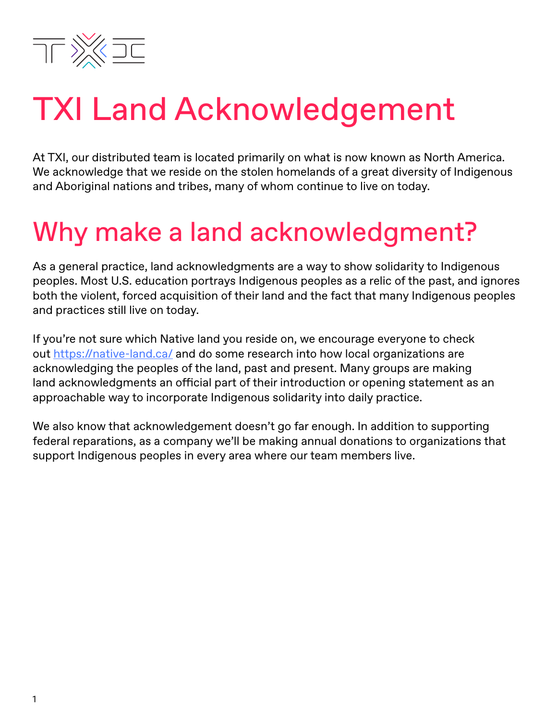

### TXI Land Acknowledgement

At TXI, our distributed team is located primarily on what is now known as North America. We acknowledge that we reside on the stolen homelands of a great diversity of Indigenous and Aboriginal nations and tribes, many of whom continue to live on today.

#### Why make a land acknowledgment?

As a general practice, land acknowledgments are a way to show solidarity to Indigenous peoples. Most U.S. education portrays Indigenous peoples as a relic of the past, and ignores both the violent, forced acquisition of their land and the fact that many Indigenous peoples and practices still live on today.

If you're not sure which Native land you reside on, we encourage everyone to check out <https://native-land.ca/>and do some research into how local organizations are acknowledging the peoples of the land, past and present. Many groups are making land acknowledgments an official part of their introduction or opening statement as an approachable way to incorporate Indigenous solidarity into daily practice.

We also know that acknowledgement doesn't go far enough. In addition to supporting federal reparations, as a company we'll be making annual donations to organizations that support Indigenous peoples in every area where our team members live.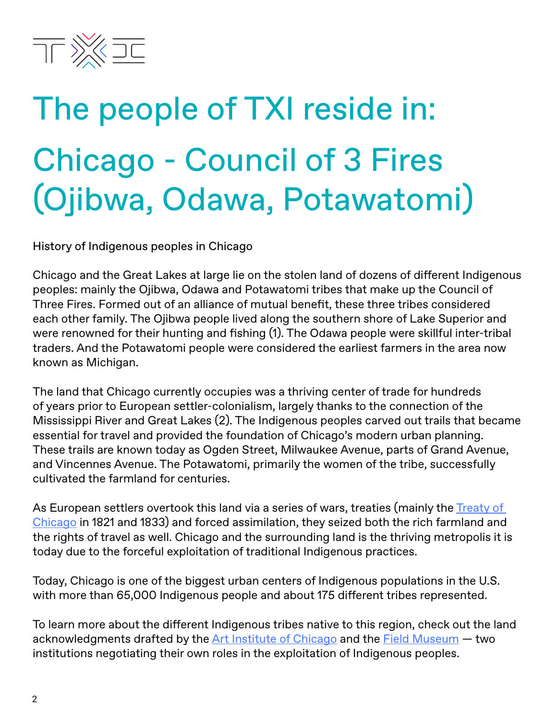

# The people of TXI reside in: Chicago - Council of 3 Fires (Ojibwa, Odawa, Potawatomi)

History of Indigenous peoples in Chicago

Chicago and the Great Lakes at large lie on the stolen land of dozens of different Indigenous peoples: mainly the Ojibwa, Odawa and Potawatomi tribes that make up the Council of Three Fires. Formed out of an alliance of mutual benefit, these three tribes considered each other family. The Ojibwa people lived along the southern shore of Lake Superior and were renowned for their hunting and fishing (1). The Odawa people were skillful inter-tribal traders. And the Potawatomi people were considered the earliest farmers in the area now known as Michigan.

The land that Chicago currently occupies was a thriving center of trade for hundreds of years prior to European settler-colonialism, largely thanks to the connection of the Mississippi River and Great Lakes (2). The Indigenous peoples carved out trails that became essential for travel and provided the foundation of Chicago's modern urban planning. These trails are known today as Ogden Street, Milwaukee Avenue, parts of Grand Avenue, and Vincennes Avenue. The Potawatomi, primarily the women of the tribe, successfully cultivated the farmland for centuries.

As European settlers overtook this land via a series of wars, treaties (mainly the Treaty of [Chicago](https://en.wikipedia.org/wiki/Treaty_of_Chicago) in 1821 and 1833) and forced assimilation, they seized both the rich farmland and the rights of travel as well. Chicago and the surrounding land is the thriving metropolis it is today due to the forceful exploitation of traditional Indigenous practices.

Today, Chicago is one of the biggest urban centers of Indigenous populations in the U.S. with more than 65,000 Indigenous people and about 175 different tribes represented.

To learn more about the different Indigenous tribes native to this region, check out the land acknowledgments drafted by the [Art Institute of Chicago](https://www.artic.edu/about-us/land-acknowledgment) and the [Field Museum](https://www.fieldmuseum.org/about/land-acknowledgment) – two institutions negotiating their own roles in the exploitation of Indigenous peoples.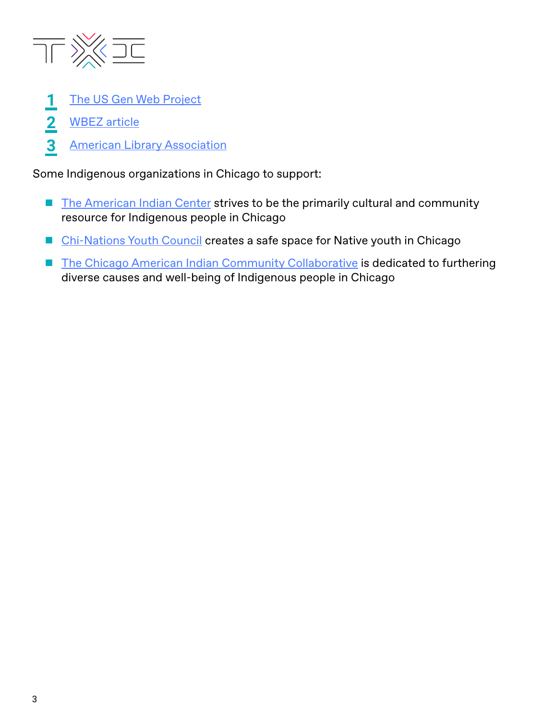

- [The US Gen Web Project](http://sites.rootsweb.com/~minatam/) **1**
- [WBEZ article](http://interactive.wbez.org/curiouscity/chicago-native-americans/) **2**
- [American Library Association](http://www.ala.org/aboutala/offices/diversity/chicago-indigenous#:~:text=“Chicago today has the third,” (Hautzinger, 2018).) **3**

Some Indigenous organizations in Chicago to support:

- [The American Indian Center](https://aicchicago.org/) strives to be the primarily cultural and community resource for Indigenous people in Chicago
- [Chi-Nations Youth Council](https://chinationsyouth.weebly.com/) creates a safe space for Native youth in Chicago
- [The Chicago American Indian Community Collaborative](https://chicagoaicc.com/) is dedicated to furthering diverse causes and well-being of Indigenous people in Chicago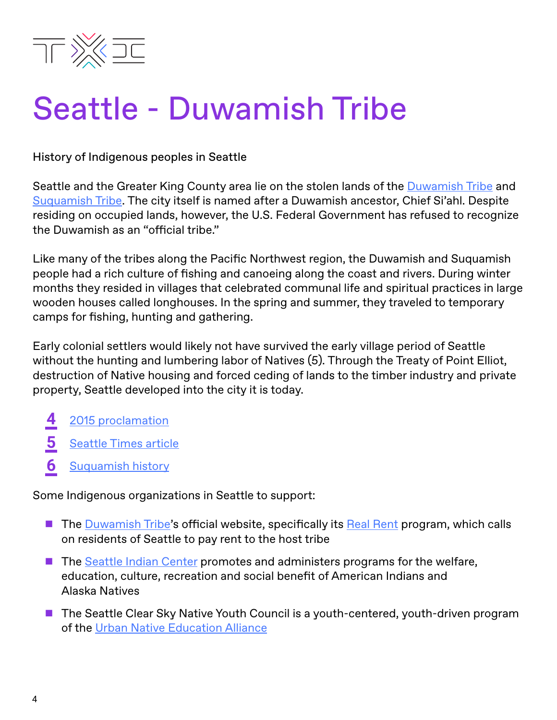

### Seattle - Duwamish Tribe

History of Indigenous peoples in Seattle

Seattle and the Greater King County area lie on the stolen lands of the [Duwamish Tribe](https://www.duwamishtribe.org/) and [Suquamish Tribe](https://suquamish.nsn.us/). The city itself is named after a Duwamish ancestor, Chief Si'ahl. Despite residing on occupied lands, however, the U.S. Federal Government has refused to recognize the Duwamish as an "official tribe."

Like many of the tribes along the Pacific Northwest region, the Duwamish and Suquamish people had a rich culture of fishing and canoeing along the coast and rivers. During winter months they resided in villages that celebrated communal life and spiritual practices in large wooden houses called longhouses. In the spring and summer, they traveled to temporary camps for fishing, hunting and gathering.

Early colonial settlers would likely not have survived the early village period of Seattle without the hunting and lumbering labor of Natives (5). Through the Treaty of Point Elliot, destruction of Native housing and forced ceding of lands to the timber industry and private property, Seattle developed into the city it is today.

- [2015 proclamation](https://turtletalk.files.wordpress.com/2015/07/idc1-030828.pdf) **4**
- [Seattle Times article](https://www.seattletimes.com/life/lifestyle/native-landscape-the-rich-layer-of-indigenous-history-under-seattles-skin/) **5**
- [Suquamish history](https://suquamish.nsn.us/home/about-us/history-culture/#tab-id-5) **6**

Some Indigenous organizations in Seattle to support:

- The [Duwamish Tribe](https://www.duwamishtribe.org/)'s official website, specifically its [Real Rent](https://www.realrentduwamish.org/) program, which calls on residents of Seattle to pay rent to the host tribe
- The [Seattle Indian Center](http://seattleindian.org/) promotes and administers programs for the welfare, education, culture, recreation and social benefit of American Indians and Alaska Natives
- The Seattle Clear Sky Native Youth Council is a youth-centered, youth-driven program of the [Urban Native Education Alliance](https://urbannativeeducation.org/)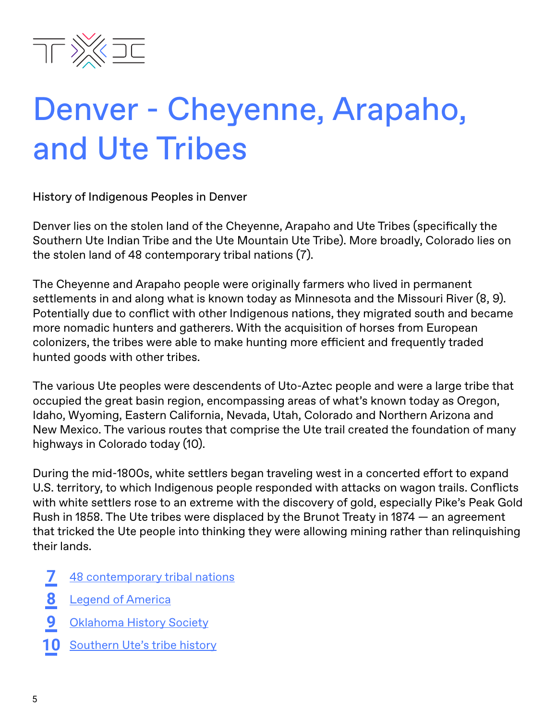

### Denver - Cheyenne, Arapaho, and Ute Tribes

History of Indigenous Peoples in Denver

Denver lies on the stolen land of the Cheyenne, Arapaho and Ute Tribes (specifically the Southern Ute Indian Tribe and the Ute Mountain Ute Tribe). More broadly, Colorado lies on the stolen land of 48 contemporary tribal nations (7).

The Cheyenne and Arapaho people were originally farmers who lived in permanent settlements in and along what is known today as Minnesota and the Missouri River (8, 9). Potentially due to conflict with other Indigenous nations, they migrated south and became more nomadic hunters and gatherers. With the acquisition of horses from European colonizers, the tribes were able to make hunting more efficient and frequently traded hunted goods with other tribes.

The various Ute peoples were descendents of Uto-Aztec people and were a large tribe that occupied the great basin region, encompassing areas of what's known today as Oregon, Idaho, Wyoming, Eastern California, Nevada, Utah, Colorado and Northern Arizona and New Mexico. The various routes that comprise the Ute trail created the foundation of many highways in Colorado today (10).

During the mid-1800s, white settlers began traveling west in a concerted effort to expand U.S. territory, to which Indigenous people responded with attacks on wagon trails. Conflicts with white settlers rose to an extreme with the discovery of gold, especially Pike's Peak Gold Rush in 1858. The Ute tribes were displaced by the Brunot Treaty in 1874 — an agreement that tricked the Ute people into thinking they were allowing mining rather than relinquishing their lands.

- [48 contemporary tribal nations](https://www.colorado.gov/pacific/sites/default/files/atoms/files/Tribal%20contact%20list%20July2019%20%281%29.pdf) **7**
- [Legend of America](https://www.legendsofamerica.com/na-cheyenne/) **8**
- [Oklahoma History Society](https://www.okhistory.org/publications/enc/entry.php?entry=AR002) **9**
- 10 [Southern Ute's tribe history](https://www.southernute-nsn.gov/history/)